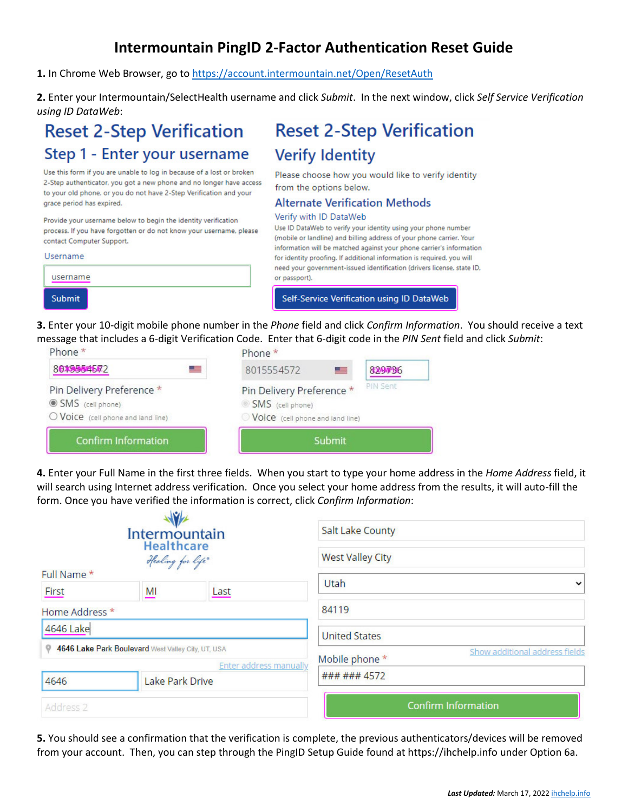## **Intermountain PingID 2-Factor Authentication Reset Guide**

**1.** In Chrome Web Browser, go to [https://account.intermountain.net/Open/ResetAuth](https://urldefense.proofpoint.com/v2/url?u=https-3A__account.intermountain.net_Open_ResetAuth&d=DwMFAg&c=II16XUCNF0uj2WHDMBdftpHZzyfqZU4E6o4J8m7Yfh-XF5deecOtjPXuMFvj1uWy&r=GE_xrWS3pIzEPUfzE94MNdktNfSmQiPKycByBraq05M&m=pfyxD2bc2r1gem-2FfUTGj24bt3NUECcGfLGz0fKecI&s=ISeu9T7dl_LE7khx022ognRnY-Dc8l75lkVjeEG9rVY&e)

**2.** Enter your Intermountain/SelectHealth username and click *Submit*. In the next window, click *Self Service Verification using ID DataWeb*:

**Verify Identity** 

from the options below.

Verify with ID DataWeb

**Reset 2-Step Verification** 

Please choose how you would like to verify identity

Use ID DataWeb to verify your identity using your phone number

(mobile or landline) and billing address of your phone carrier. Your

**Alternate Verification Methods** 

# **Reset 2-Step Verification** Step 1 - Enter your username

Use this form if you are unable to log in because of a lost or broken 2-Step authenticator, you got a new phone and no longer have access to your old phone, or you do not have 2-Step Verification and your grace period has expired.

Provide your username below to begin the identity verification process. If you have forgotten or do not know your username, please contact Computer Support.

| <b>Submit</b> | Self-Service Verification using ID DataWeb                                                                                                     |
|---------------|------------------------------------------------------------------------------------------------------------------------------------------------|
| username      | need your government-issued identification (drivers license, state ID,<br>or passport).                                                        |
| Username      | information will be matched against your phone carrier's information<br>for identity proofing. If additional information is required, you will |
|               |                                                                                                                                                |

#### **3.** Enter your 10-digit mobile phone number in the *Phone* field and click *Confirm Information*. You should receive a text message that includes a 6-digit Verification Code. Enter that 6-digit code in the *PIN Sent* field and click *Submit*:

| <b>Confirm Information</b>                                                          | Submit                                                                                                   |  |
|-------------------------------------------------------------------------------------|----------------------------------------------------------------------------------------------------------|--|
| Pin Delivery Preference *<br>SMS (cell phone)<br>O Voice (cell phone and land line) | PIN Sent<br>Pin Delivery Preference *<br>SMS (cell phone)<br>$\bigcirc$ Voice (cell phone and land line) |  |
| 8019554572                                                                          | 8015554572<br><b>&amp;RAMPBI6</b><br>a -                                                                 |  |
| Phone *                                                                             | Phone *                                                                                                  |  |

**4.** Enter your Full Name in the first three fields. When you start to type your home address in the *Home Address* field, it will search using Internet address verification. Once you select your home address from the results, it will auto-fill the form. Once you have verified the information is correct, click *Confirm Information*:

| Intermountain<br><b>Healthcare</b><br>Healing for life"                      |                 |      | <b>Salt Lake County</b><br><b>West Valley City</b> |
|------------------------------------------------------------------------------|-----------------|------|----------------------------------------------------|
| Full Name *                                                                  |                 |      | Utah                                               |
| First                                                                        | MI              | Last |                                                    |
| Home Address *                                                               |                 |      | 84119                                              |
| 4646 Lake                                                                    |                 |      | <b>United States</b>                               |
| 4646 Lake Park Boulevard West Valley City, UT, USA<br>Enter address manually |                 |      | Show additional address fields<br>Mobile phone *   |
| 4646                                                                         | Lake Park Drive |      | ### ### 4572                                       |
| Address 2                                                                    |                 |      | <b>Confirm Information</b>                         |

**5.** You should see a confirmation that the verification is complete, the previous authenticators/devices will be removed from your account. Then, you can step through the PingID Setup Guide found at https://ihchelp.info under Option 6a.